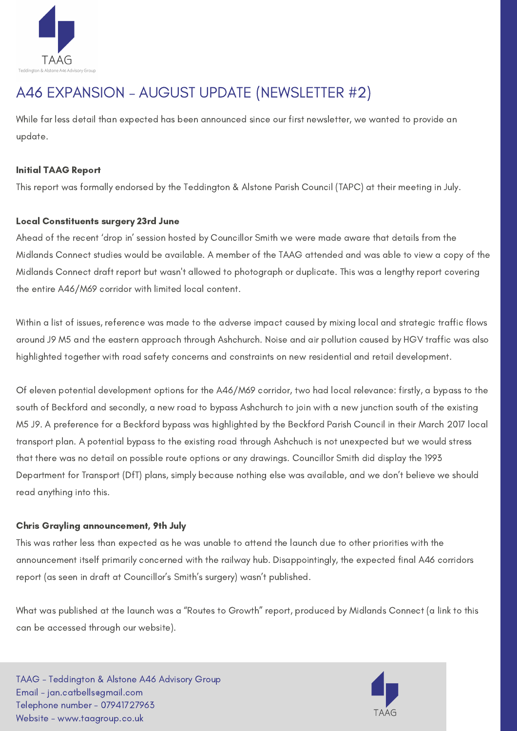

# A46 EXPANSION – AUGUST UPDATE (NEWSLETTER #2)

While far less detail than expected has been announced since our first newsletter, we wanted to provide an update.

## Initial TAAG Report

This report was formally endorsed by the Teddington & Alstone Parish Council (TAPC) at their meeting in July.

### Local Constituents surgery 23rd June

Ahead of the recent 'drop in' session hosted by Councillor Smith we were made aware that details from the Midlands Connect studies would be available. A member of the TAAG attended and was able to view a copy of the Midlands Connect draft report but wasn't allowed to photograph or duplicate. This was a lengthy report covering the entire A46/M69 corridor with limited local content.

Within a list of issues, reference was made to the adverse impact caused by mixing local and strategic traffic flows around J9 M5 and the eastern approach through Ashchurch. Noise and air pollution caused by HGV traffic was also highlighted together with road safety concerns and constraints on new residential and retail development.

Of eleven potential development options for the A46/M69 corridor, two had local relevance: firstly, a bypass to the south of Beckford and secondly, a new road to bypass Ashchurch to join with a new junction south of the existing M5 J9. A preference for a Beckford bypass was highlighted by the Beckford Parish Council in their March 2017 local transport plan. A potential bypass to the existing road through Ashchuch is not unexpected but we would stress that there was no detail on possible route options or any drawings. Councillor Smith did display the 1993 Department for Transport (DfT) plans, simply because nothing else was available, and we don't believe we should read anything into this.

#### Chris Grayling announcement, 9th July

This was rather less than expected as he was unable to attend the launch due to other priorities with the announcement itself primarily concerned with the railway hub. Disappointingly, the expected final A46 corridors report (as seen in draft at Councillor's Smith's surgery) wasn't published.

What was published at the launch was a "Routes to Growth" report, produced by Midlands Connect (a link to this can be accessed through our website).

TAAG - Teddington & Alstone A46 Advisory Group Email - jan.catbells@gmail.com Telephone number - 07941727963 Website - www.taagroup.co.uk